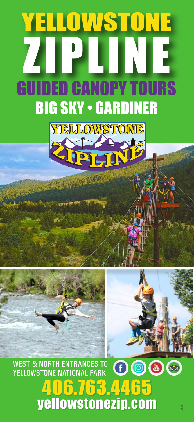# LLOWSTONE ZIPLINE DED CANOPY TOURS BIG SKY • GARDINER